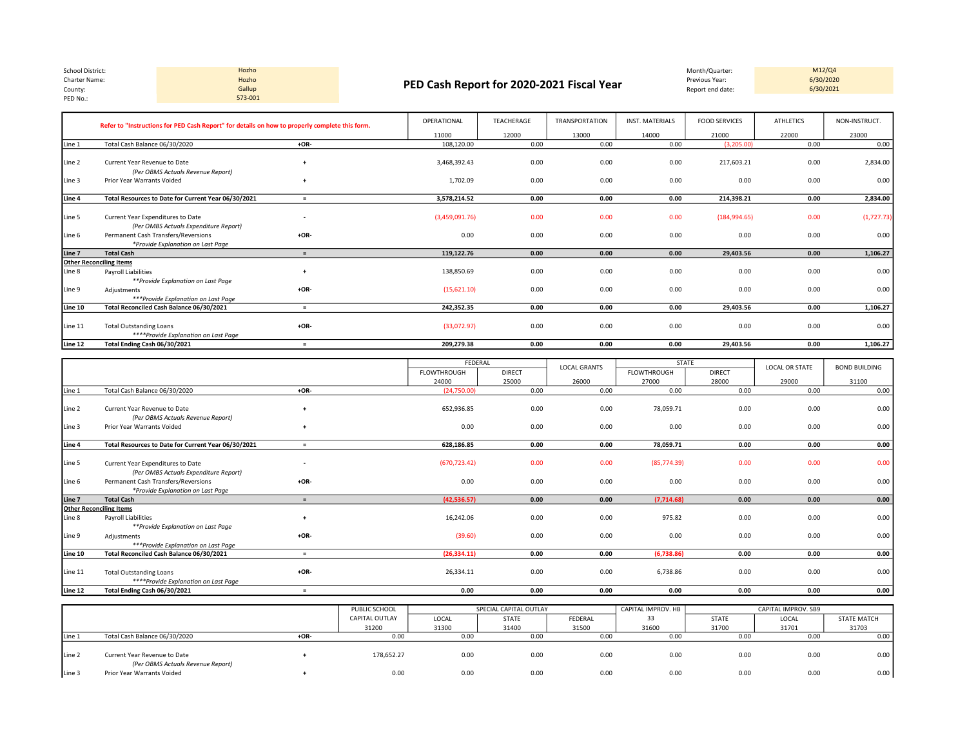| School District: | Hozho   |                                           | Month/Quarter:   | M12/Q4    |
|------------------|---------|-------------------------------------------|------------------|-----------|
| Charter Name:    | Hozho   | PED Cash Report for 2020-2021 Fiscal Year | Previous Year:   | 6/30/2020 |
| County:          | Gallup  |                                           | Report end date: | 6/30/2021 |
| PED No.:         | 573-001 |                                           |                  |           |

Hozho 573-001

M12/Q4<br>6/30/2020

|         | Refer to "Instructions for PED Cash Report" for details on how to properly complete this form. |                          | OPERATIONAL    | TEACHERAGE | <b>TRANSPORTATION</b> | INST. MATERIALS | <b>FOOD SERVICES</b> | <b>ATHLETICS</b> | NON-INSTRUCT. |
|---------|------------------------------------------------------------------------------------------------|--------------------------|----------------|------------|-----------------------|-----------------|----------------------|------------------|---------------|
|         |                                                                                                |                          | 11000          | 12000      | 13000                 | 14000           | 21000                | 22000            | 23000         |
| Line 1  | Total Cash Balance 06/30/2020                                                                  | $+OR-$                   | 108,120.00     | 0.00       | 0.00                  | 0.00            | (3,205.00)           | 0.00             | 0.00          |
| Line 2  | Current Year Revenue to Date<br>(Per OBMS Actuals Revenue Report)                              |                          | 3,468,392.43   | 0.00       | 0.00                  | 0.00            | 217,603.21           | 0.00             | 2,834.00      |
| Line 3  | Prior Year Warrants Voided                                                                     |                          | 1,702.09       | 0.00       | 0.00                  | 0.00            | 0.00                 | 0.00             | 0.00          |
| Line 4  | Total Resources to Date for Current Year 06/30/2021                                            | $\equiv$                 | 3,578,214.52   | 0.00       | 0.00                  | 0.00            | 214,398.21           | 0.00             | 2,834.00      |
| Line 5  | Current Year Expenditures to Date<br>(Per OMBS Actuals Expenditure Report)                     | $\overline{\phantom{a}}$ | (3,459,091.76) | 0.00       | 0.00                  | 0.00            | (184, 994.65)        | 0.00             | (1, 727.73)   |
| Line 6  | Permanent Cash Transfers/Reversions<br>*Provide Explanation on Last Page                       | $+OR-$                   | 0.00           | 0.00       | 0.00                  | 0.00            | 0.00                 | 0.00             | 0.00          |
| Line 7  | <b>Total Cash</b>                                                                              | $=$                      | 119,122.76     | 0.00       | 0.00                  | 0.00            | 29,403.56            | 0.00             | 1,106.27      |
|         | <b>Other Reconciling Items</b>                                                                 |                          |                |            |                       |                 |                      |                  |               |
| Line 8  | Payroll Liabilities<br>**Provide Explanation on Last Page                                      |                          | 138,850.69     | 0.00       | 0.00                  | 0.00            | 0.00                 | 0.00             | 0.00          |
| Line 9  | Adjustments<br>***Provide Explanation on Last Page                                             | $+OR-$                   | (15,621.10)    | 0.00       | 0.00                  | 0.00            | 0.00                 | 0.00             | 0.00          |
| Line 10 | Total Reconciled Cash Balance 06/30/2021                                                       | $\equiv$                 | 242,352.35     | 0.00       | 0.00                  | 0.00            | 29,403.56            | 0.00             | 1,106.27      |
| Line 11 | <b>Total Outstanding Loans</b><br>****Provide Explanation on Last Page                         | $+OR-$                   | (33,072.97)    | 0.00       | 0.00                  | 0.00            | 0.00                 | 0.00             | 0.00          |
| Line 12 | Total Ending Cash 06/30/2021                                                                   | $=$                      | 209,279.38     | 0.00       | 0.00                  | 0.00            | 29,403.56            | 0.00             | 1,106.27      |

|         |                                                     |                          | FEDERAL       |               | <b>LOCAL GRANTS</b> |             | <b>STATE</b>  | <b>LOCAL OR STATE</b> | <b>BOND BUILDING</b> |
|---------|-----------------------------------------------------|--------------------------|---------------|---------------|---------------------|-------------|---------------|-----------------------|----------------------|
|         |                                                     |                          | FLOWTHROUGH   | <b>DIRECT</b> |                     | FLOWTHROUGH | <b>DIRECT</b> |                       |                      |
|         |                                                     |                          | 24000         | 25000         | 26000               | 27000       | 28000         | 29000                 | 31100                |
| Line 1  | Total Cash Balance 06/30/2020                       | $+OR-$                   | (24,750.00)   | 0.00          | 0.00                | 0.00        | 0.00          | 0.00                  | 0.00                 |
|         |                                                     |                          |               |               |                     |             |               |                       |                      |
| Line 2  | Current Year Revenue to Date                        | $\overline{ }$           | 652,936.85    | 0.00          | 0.00                | 78,059.71   | 0.00          | 0.00                  | 0.00                 |
|         | (Per OBMS Actuals Revenue Report)                   |                          |               |               |                     |             |               |                       |                      |
| Line 3  | Prior Year Warrants Voided                          |                          | 0.00          | 0.00          | 0.00                | 0.00        | 0.00          | 0.00                  | 0.00                 |
|         |                                                     |                          |               |               |                     |             |               |                       |                      |
| Line 4  | Total Resources to Date for Current Year 06/30/2021 | $=$                      | 628.186.85    | 0.00          | 0.00                | 78,059.71   | 0.00          | 0.00                  | 0.00                 |
|         |                                                     |                          |               |               |                     |             |               |                       |                      |
| Line 5  | Current Year Expenditures to Date                   | $\overline{\phantom{a}}$ | (670, 723.42) | 0.00          | 0.00                | (85,774.39) | 0.00          | 0.00                  | 0.00                 |
|         | (Per OMBS Actuals Expenditure Report)               |                          |               |               |                     |             |               |                       |                      |
| Line 6  | Permanent Cash Transfers/Reversions                 | $+OR-$                   | 0.00          | 0.00          | 0.00                | 0.00        | 0.00          | 0.00                  | 0.00                 |
|         | *Provide Explanation on Last Page                   |                          |               |               |                     |             |               |                       |                      |
| Line 7  | <b>Total Cash</b>                                   | $=$                      | (42, 536.57)  | 0.00          | 0.00                | (7,714.68)  | 0.00          | 0.00                  | 0.00                 |
|         | <b>Other Reconciling Items</b>                      |                          |               |               |                     |             |               |                       |                      |
| Line 8  | <b>Payroll Liabilities</b>                          | $+$                      | 16,242.06     | 0.00          | 0.00                | 975.82      | 0.00          | 0.00                  | 0.00                 |
|         | **Provide Explanation on Last Page                  |                          |               |               |                     |             |               |                       |                      |
| Line 9  | Adjustments                                         | $+OR-$                   | (39.60)       | 0.00          | 0.00                | 0.00        | 0.00          | 0.00                  | 0.00                 |
|         | ***Provide Explanation on Last Page                 |                          |               |               |                     |             |               |                       |                      |
| Line 10 | Total Reconciled Cash Balance 06/30/2021            | $=$                      | (26, 334.11)  | 0.00          | 0.00                | (6,738.86)  | 0.00          | 0.00                  | 0.00                 |
|         |                                                     |                          |               |               |                     |             |               |                       |                      |
| Line 11 | <b>Total Outstanding Loans</b>                      | $+OR-$                   | 26,334.11     | 0.00          | 0.00                | 6,738.86    | 0.00          | 0.00                  | 0.00                 |
|         | ****Provide Explanation on Last Page                |                          |               |               |                     |             |               |                       |                      |
| Line 12 | Total Ending Cash 06/30/2021                        | $=$                      | 0.00          | 0.00          | 0.00                | 0.00        | 0.00          | 0.00                  | 0.00                 |

|                   |                                   |        | PUBLIC SCHOOL  | SPECIAL CAPITAL OUTLAY |              |         | CAPITAL IMPROV. HB |              | CAPITAL IMPROV. SB9 |                    |
|-------------------|-----------------------------------|--------|----------------|------------------------|--------------|---------|--------------------|--------------|---------------------|--------------------|
|                   |                                   |        | CAPITAL OUTLAY | LOCAL                  | <b>STATE</b> | FEDERAL | 33                 | <b>STATE</b> | LOCAL               | <b>STATE MATCH</b> |
|                   |                                   |        | 31200          | 31300                  | 31400        | 31500   | 31600              | 31700        | 31701               | 31703              |
| Line 1            | Total Cash Balance 06/30/2020     | $+OR-$ | 0.00           | 0.00                   | 0.00         | 0.00    | 0.00               |              | 0.00                | 0.00               |
|                   |                                   |        |                |                        |              |         |                    |              |                     |                    |
| Line <sub>2</sub> | Current Year Revenue to Date      |        | 178,652.27     | 0.00                   | 0.00         | 0.00    | 0.00               | 0.00         | 0.00                | 0.00               |
|                   | (Per OBMS Actuals Revenue Report) |        |                |                        |              |         |                    |              |                     |                    |
| Line 3            | Prior Year Warrants Voided        |        | 0.00           | 0.00                   | 0.00         | 0.00    | 0.00               | 0.00         | 0.00                | 0.00               |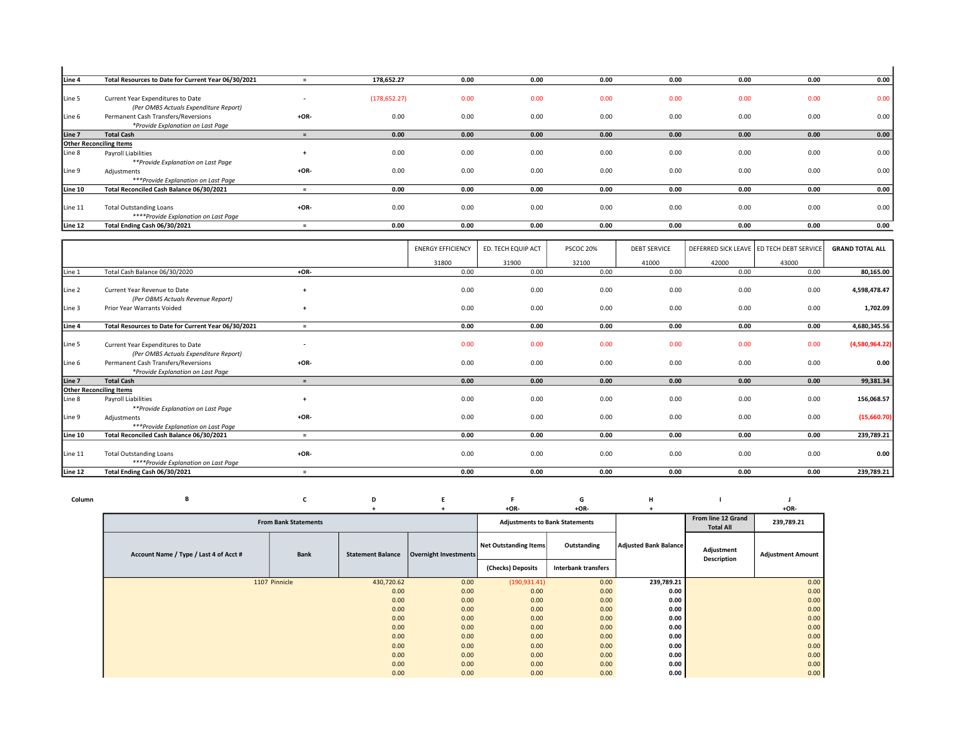| Line 4  | Total Resources to Date for Current Year 06/30/2021 |                          | 178,652.27    | 0.00 | 0.00 | 0.00 | 0.00 | 0.00 | 0.00 | 0.00 |
|---------|-----------------------------------------------------|--------------------------|---------------|------|------|------|------|------|------|------|
|         |                                                     |                          |               |      |      |      |      |      |      |      |
| Line 5  | Current Year Expenditures to Date                   | $\overline{\phantom{a}}$ | (178, 652.27) | 0.00 | 0.00 | 0.00 | 0.00 | 0.00 | 0.00 | 0.00 |
|         | (Per OMBS Actuals Expenditure Report)               |                          |               |      |      |      |      |      |      |      |
| Line 6  | Permanent Cash Transfers/Reversions                 | $+OR-$                   | 0.00          | 0.00 | 0.00 | 0.00 | 0.00 | 0.00 | 0.00 | 0.00 |
|         | *Provide Explanation on Last Page                   |                          |               |      |      |      |      |      |      |      |
| Line 7  | <b>Total Cash</b>                                   | $=$                      | 0.00          | 0.00 | 0.00 | 0.00 | 0.00 | 0.00 | 0.00 | 0.00 |
|         | <b>Other Reconciling Items</b>                      |                          |               |      |      |      |      |      |      |      |
| Line 8  | Payroll Liabilities                                 | $\ddot{}$                | 0.00          | 0.00 | 0.00 | 0.00 | 0.00 | 0.00 | 0.00 | 0.00 |
|         | **Provide Explanation on Last Page                  |                          |               |      |      |      |      |      |      |      |
| Line 9  | Adjustments                                         | $+OR-$                   | 0.00          | 0.00 | 0.00 | 0.00 | 0.00 | 0.00 | 0.00 | 0.00 |
|         | ***Provide Explanation on Last Page                 |                          |               |      |      |      |      |      |      |      |
| Line 10 | Total Reconciled Cash Balance 06/30/2021            | $=$                      | 0.00          | 0.00 | 0.00 | 0.00 | 0.00 | 0.00 | 0.00 | 0.00 |
|         |                                                     |                          |               |      |      |      |      |      |      |      |
| Line 11 | <b>Total Outstanding Loans</b>                      | $+OR-$                   | 0.00          | 0.00 | 0.00 | 0.00 | 0.00 | 0.00 | 0.00 | 0.00 |
|         | ****Provide Explanation on Last Page                |                          |               |      |      |      |      |      |      |      |
| Line 12 | Total Ending Cash 06/30/2021                        |                          | 0.00          | 0.00 | 0.00 | 0.00 | 0.00 | 0.00 | 0.00 | 0.00 |

|         |                                                                            |                          | <b>ENERGY EFFICIENCY</b> | ED. TECH EQUIP ACT | PSCOC 20% | <b>DEBT SERVICE</b> |       | DEFERRED SICK LEAVE   ED TECH DEBT SERVICE | <b>GRAND TOTAL ALL</b> |
|---------|----------------------------------------------------------------------------|--------------------------|--------------------------|--------------------|-----------|---------------------|-------|--------------------------------------------|------------------------|
|         |                                                                            |                          | 31800                    | 31900              | 32100     | 41000               | 42000 | 43000                                      |                        |
| Line 1  | Total Cash Balance 06/30/2020                                              | $+OR-$                   | 0.00                     | 0.00               | 0.00      | 0.00                | 0.00  | 0.00                                       | 80,165.00              |
| Line 2  | Current Year Revenue to Date<br>(Per OBMS Actuals Revenue Report)          | $\overline{ }$           | 0.00                     | 0.00               | 0.00      | 0.00                | 0.00  | 0.00                                       | 4,598,478.47           |
| Line 3  | Prior Year Warrants Voided                                                 |                          | 0.00                     | 0.00               | 0.00      | 0.00                | 0.00  | 0.00                                       | 1,702.09               |
| Line 4  | Total Resources to Date for Current Year 06/30/2021                        | $\equiv$                 | 0.00                     | 0.00               | 0.00      | 0.00                | 0.00  | 0.00                                       | 4,680,345.56           |
| Line 5  | Current Year Expenditures to Date<br>(Per OMBS Actuals Expenditure Report) | $\overline{\phantom{a}}$ | 0.00                     | 0.00               | 0.00      | 0.00                | 0.00  | 0.00                                       | (4,580,964.22)         |
| Line 6  | Permanent Cash Transfers/Reversions<br>*Provide Explanation on Last Page   | $+OR-$                   | 0.00                     | 0.00               | 0.00      | 0.00                | 0.00  | 0.00                                       | 0.00                   |
| Line 7  | <b>Total Cash</b>                                                          | $=$                      | 0.00                     | 0.00               | 0.00      | 0.00                | 0.00  | 0.00                                       | 99,381.34              |
|         | <b>Other Reconciling Items</b>                                             |                          |                          |                    |           |                     |       |                                            |                        |
| Line 8  | Payroll Liabilities<br>**Provide Explanation on Last Page                  |                          | 0.00                     | 0.00               | 0.00      | 0.00                | 0.00  | 0.00                                       | 156,068.57             |
| Line 9  | Adjustments<br>***Provide Explanation on Last Page                         | $+OR-$                   | 0.00                     | 0.00               | 0.00      | 0.00                | 0.00  | 0.00                                       | (15,660.70)            |
| Line 10 | Total Reconciled Cash Balance 06/30/2021                                   | $=$                      | 0.00                     | 0.00               | 0.00      | 0.00                | 0.00  | 0.00                                       | 239,789.21             |
| Line 11 | <b>Total Outstanding Loans</b><br>****Provide Explanation on Last Page     | $+OR-$                   | 0.00                     | 0.00               | 0.00      | 0.00                | 0.00  | 0.00                                       | 0.00                   |
| Line 12 | Total Ending Cash 06/30/2021                                               | $\equiv$                 | 0.00                     | 0.00               | 0.00      | 0.00                | 0.00  | 0.00                                       | 239,789.21             |

| Column | в                                      | ╰                           | D                        |                       |                              | G                                     | H                            |                                        |                          |
|--------|----------------------------------------|-----------------------------|--------------------------|-----------------------|------------------------------|---------------------------------------|------------------------------|----------------------------------------|--------------------------|
|        |                                        |                             |                          |                       | $+OR-$                       | $+OR-$                                |                              |                                        | $+OR-$                   |
|        |                                        | <b>From Bank Statements</b> |                          |                       |                              | <b>Adjustments to Bank Statements</b> |                              | From line 12 Grand<br><b>Total All</b> | 239,789.21               |
|        | Account Name / Type / Last 4 of Acct # | <b>Bank</b>                 | <b>Statement Balance</b> | Overnight Investments | <b>Net Outstanding Items</b> | Outstanding                           | <b>Adjusted Bank Balance</b> | Adjustment<br><b>Description</b>       | <b>Adjustment Amount</b> |
|        |                                        |                             |                          |                       | (Checks) Deposits            | <b>Interbank transfers</b>            |                              |                                        |                          |
|        |                                        | 1107 Pinnicle               | 430,720.62               | 0.00                  | (190, 931.41)                | 0.00                                  | 239,789.21                   |                                        | 0.00                     |
|        |                                        |                             | 0.00                     | 0.00                  | 0.00                         | 0.00                                  | 0.00                         |                                        | 0.00                     |
|        |                                        |                             | 0.00                     | 0.00                  | 0.00                         | 0.00                                  | 0.00                         |                                        | 0.00                     |
|        |                                        |                             | 0.00                     | 0.00                  | 0.00                         | 0.00                                  | 0.00                         |                                        | 0.00                     |
|        |                                        |                             | 0.00                     | 0.00                  | 0.00                         | 0.00                                  | 0.00                         |                                        | 0.00                     |
|        |                                        |                             | 0.00                     | 0.00                  | 0.00                         | 0.00                                  | 0.00                         |                                        | 0.00                     |
|        |                                        |                             | 0.00                     | 0.00                  | 0.00                         | 0.00                                  | 0.00                         |                                        | 0.00                     |
|        |                                        |                             | 0.00                     | 0.00                  | 0.00                         | 0.00                                  | 0.00                         |                                        | 0.00                     |
|        |                                        |                             | 0.00                     | 0.00                  | 0.00                         | 0.00                                  | 0.00                         |                                        | 0.00                     |
|        |                                        |                             | 0.00                     | 0.00                  | 0.00                         | 0.00                                  | 0.00                         |                                        | 0.00                     |
|        |                                        |                             | 0.00                     | 0.00                  | 0.00                         | 0.00                                  | 0.00                         |                                        | 0.00                     |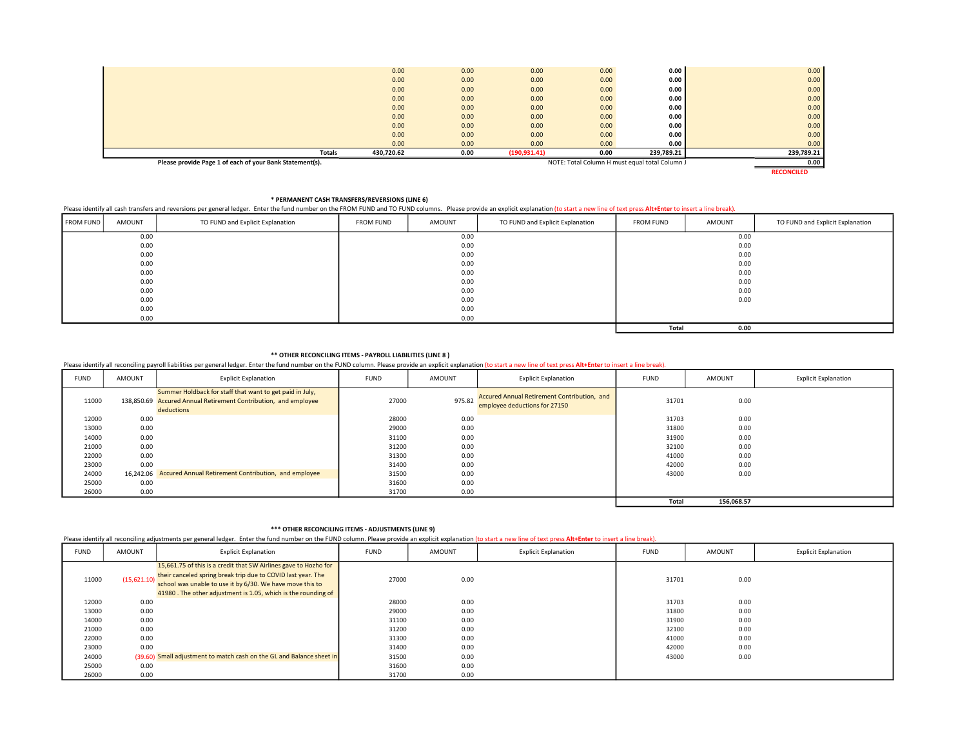| Please provide Page 1 of each of your Bank Statement(s). |            |      |               |      | NOTE: Total Column H must equal total Column J | 0.00       |
|----------------------------------------------------------|------------|------|---------------|------|------------------------------------------------|------------|
| <b>Totals</b>                                            | 430,720.62 | 0.00 | (190, 931.41) | 0.00 | 239,789.21                                     | 239,789.21 |
|                                                          | 0.00       | 0.00 | 0.00          | 0.00 | 0.00                                           | 0.00       |
|                                                          | 0.00       | 0.00 | 0.00          | 0.00 | 0.00                                           | 0.00       |
|                                                          | 0.00       | 0.00 | 0.00          | 0.00 | 0.00                                           | 0.00       |
|                                                          | 0.00       | 0.00 | 0.00          | 0.00 | 0.00                                           | 0.00       |
|                                                          | 0.00       | 0.00 | 0.00          | 0.00 | 0.00                                           | 0.00       |
|                                                          | 0.00       | 0.00 | 0.00          | 0.00 | 0.00                                           | 0.00       |
|                                                          | 0.00       | 0.00 | 0.00          | 0.00 | 0.00                                           | 0.00       |
|                                                          | 0.00       | 0.00 | 0.00          | 0.00 | 0.00                                           | 0.00       |
|                                                          | 0.00       | 0.00 | 0.00          | 0.00 | 0.00                                           | 0.00       |
|                                                          |            |      |               |      |                                                |            |

RECONCILED

\* PERMANENT CASH TRANSFERS/REVERSIONS (LINE 6)

# Please identify all cash transfers and reversions per general ledger. Enter the fund number on the FROM FUND and TO FUND columns. Please provide an explicit explanation (to start a new line of text press Alt+Enter to inser

| <b>FROM FUND</b> | AMOUNT | TO FUND and Explicit Explanation | <b>FROM FUND</b> | AMOUNT | TO FUND and Explicit Explanation | <b>FROM FUND</b> | AMOUNT | TO FUND and Explicit Explanation |
|------------------|--------|----------------------------------|------------------|--------|----------------------------------|------------------|--------|----------------------------------|
|                  | 0.00   |                                  |                  | 0.00   |                                  |                  | 0.00   |                                  |
|                  | 0.00   |                                  |                  | 0.00   |                                  |                  | 0.00   |                                  |
|                  | 0.00   |                                  |                  | 0.00   |                                  |                  | 0.00   |                                  |
|                  | 0.00   |                                  |                  | 0.00   |                                  |                  | 0.00   |                                  |
|                  | 0.00   |                                  |                  | 0.00   |                                  |                  | 0.00   |                                  |
|                  | 0.00   |                                  |                  | 0.00   |                                  |                  | 0.00   |                                  |
|                  | 0.00   |                                  |                  | 0.00   |                                  |                  | 0.00   |                                  |
|                  | 0.00   |                                  |                  | 0.00   |                                  |                  | 0.00   |                                  |
|                  | 0.00   |                                  |                  | 0.00   |                                  |                  |        |                                  |
|                  | 0.00   |                                  |                  | 0.00   |                                  |                  |        |                                  |
|                  |        |                                  |                  |        |                                  | Total            | 0.00   |                                  |

### \*\* OTHER RECONCILING ITEMS - PAYROLL LIABILITIES (LINE 8 )

Please identify all reconciling payroll liabilities per general ledger. Enter the fund number on the FUND column. Please provide an explicit explanation (to start a new line of text press Alt+Enter to insert a line break).

| <b>FUND</b> | AMOUNT | <b>Explicit Explanation</b>                                                                                                               | <b>FUND</b> | AMOUNT | <b>Explicit Explanation</b>                                                  | <b>FUND</b>  | AMOUNT     | <b>Explicit Explanation</b> |
|-------------|--------|-------------------------------------------------------------------------------------------------------------------------------------------|-------------|--------|------------------------------------------------------------------------------|--------------|------------|-----------------------------|
| 11000       |        | Summer Holdback for staff that want to get paid in July,<br>138,850.69 Accured Annual Retirement Contribution, and employee<br>deductions | 27000       | 975.82 | Accured Annual Retirement Contribution, and<br>employee deductions for 27150 | 31701        | 0.00       |                             |
| 12000       | 0.00   |                                                                                                                                           | 28000       | 0.00   |                                                                              | 31703        | 0.00       |                             |
| 13000       | 0.00   |                                                                                                                                           | 29000       | 0.00   |                                                                              | 31800        | 0.00       |                             |
| 14000       | 0.00   |                                                                                                                                           | 31100       | 0.00   |                                                                              | 31900        | 0.00       |                             |
| 21000       | 0.00   |                                                                                                                                           | 31200       | 0.00   |                                                                              | 32100        | 0.00       |                             |
| 22000       | 0.00   |                                                                                                                                           | 31300       | 0.00   |                                                                              | 41000        | 0.00       |                             |
| 23000       | 0.00   |                                                                                                                                           | 31400       | 0.00   |                                                                              | 42000        | 0.00       |                             |
| 24000       |        | 16,242.06 Accured Annual Retirement Contribution, and employee                                                                            | 31500       | 0.00   |                                                                              | 43000        | 0.00       |                             |
| 25000       | 0.00   |                                                                                                                                           | 31600       | 0.00   |                                                                              |              |            |                             |
| 26000       | 0.00   |                                                                                                                                           | 31700       | 0.00   |                                                                              |              |            |                             |
|             |        |                                                                                                                                           |             |        |                                                                              | <b>Total</b> | 156,068.57 |                             |

## \*\*\* OTHER RECONCILING ITEMS - ADJUSTMENTS (LINE 9)

Please identify all reconciling adjustments per general ledger. Enter the fund number on the FUND column. Please provide an explicit explanation (to start a new line of text press Alt+Enter to insert a line break).

| <b>FUND</b> | AMOUNT      | <b>Explicit Explanation</b>                                                                                                                                                                                                                                    | <b>FUND</b> | AMOUNT | <b>Explicit Explanation</b> | <b>FUND</b> | AMOUNT | <b>Explicit Explanation</b> |
|-------------|-------------|----------------------------------------------------------------------------------------------------------------------------------------------------------------------------------------------------------------------------------------------------------------|-------------|--------|-----------------------------|-------------|--------|-----------------------------|
| 11000       | (15,621.10) | 15,661.75 of this is a credit that SW Airlines gave to Hozho for<br>their canceled spring break trip due to COVID last year. The<br>school was unable to use it by 6/30. We have move this to<br>41980. The other adjustment is 1.05, which is the rounding of | 27000       | 0.00   |                             | 31701       | 0.00   |                             |
| 12000       | 0.00        |                                                                                                                                                                                                                                                                | 28000       | 0.00   |                             | 31703       | 0.00   |                             |
| 13000       | 0.00        |                                                                                                                                                                                                                                                                | 29000       | 0.00   |                             | 31800       | 0.00   |                             |
| 14000       | 0.00        |                                                                                                                                                                                                                                                                | 31100       | 0.00   |                             | 31900       | 0.00   |                             |
| 21000       | 0.00        |                                                                                                                                                                                                                                                                | 31200       | 0.00   |                             | 32100       | 0.00   |                             |
| 22000       | 0.00        |                                                                                                                                                                                                                                                                | 31300       | 0.00   |                             | 41000       | 0.00   |                             |
| 23000       | 0.00        |                                                                                                                                                                                                                                                                | 31400       | 0.00   |                             | 42000       | 0.00   |                             |
| 24000       |             | (39.60) Small adjustment to match cash on the GL and Balance sheet in                                                                                                                                                                                          | 31500       | 0.00   |                             | 43000       | 0.00   |                             |
| 25000       | 0.00        |                                                                                                                                                                                                                                                                | 31600       | 0.00   |                             |             |        |                             |
| 26000       | 0.00        |                                                                                                                                                                                                                                                                | 31700       | 0.00   |                             |             |        |                             |